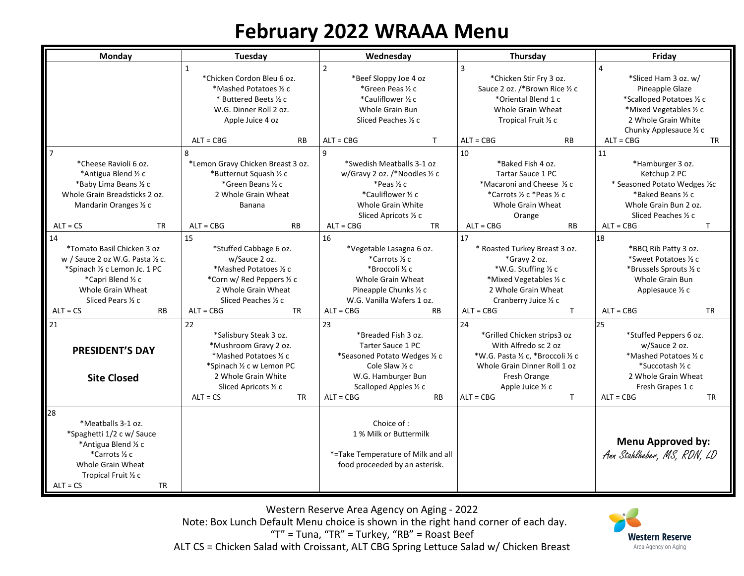## **February 2022 WRAAA Menu**

| Monday                                                                                                                                                                | Tuesday                                                                                                                                                                               | Wednesday                                                                                                                                                                      | Thursday                                                                                                                                                                                            | Friday                                                                                                                                                                                 |
|-----------------------------------------------------------------------------------------------------------------------------------------------------------------------|---------------------------------------------------------------------------------------------------------------------------------------------------------------------------------------|--------------------------------------------------------------------------------------------------------------------------------------------------------------------------------|-----------------------------------------------------------------------------------------------------------------------------------------------------------------------------------------------------|----------------------------------------------------------------------------------------------------------------------------------------------------------------------------------------|
|                                                                                                                                                                       | *Chicken Cordon Bleu 6 oz.<br>*Mashed Potatoes 1/2 c<br>* Buttered Beets 1/2 c<br>W.G. Dinner Roll 2 oz.<br>Apple Juice 4 oz<br>$ALT = CBG$<br><b>RB</b>                              | $\overline{2}$<br>*Beef Sloppy Joe 4 oz<br>*Green Peas ½ c<br>*Cauliflower 1/2 c<br>Whole Grain Bun<br>Sliced Peaches 1/2 c<br>T.<br>$ALT = CBG$                               | 3<br>*Chicken Stir Fry 3 oz.<br>Sauce 2 oz. /*Brown Rice 1/2 c<br>*Oriental Blend 1 c<br><b>Whole Grain Wheat</b><br>Tropical Fruit 1/2 c<br>$ALT = CBG$<br><b>RB</b>                               | *Sliced Ham 3 oz. w/<br>Pineapple Glaze<br>*Scalloped Potatoes 1/2 c<br>*Mixed Vegetables 1/2 c<br>2 Whole Grain White<br>Chunky Applesauce $\frac{1}{2}c$<br>$ALT = CBG$<br><b>TR</b> |
| $7\overline{ }$                                                                                                                                                       | 8                                                                                                                                                                                     | 9                                                                                                                                                                              | 10                                                                                                                                                                                                  | 11                                                                                                                                                                                     |
| *Cheese Ravioli 6 oz.<br>*Antigua Blend 1/2 c<br>*Baby Lima Beans 1/2 c<br>Whole Grain Breadsticks 2 oz.<br>Mandarin Oranges 1/2 c                                    | *Lemon Gravy Chicken Breast 3 oz.<br>*Butternut Squash 1/2 c<br>*Green Beans 1/2 c<br>2 Whole Grain Wheat<br>Banana                                                                   | *Swedish Meatballs 3-1 oz<br>w/Gravy 2 oz. /*Noodles ½ c<br>*Peas ½ c<br>*Cauliflower 1/2 c<br>Whole Grain White<br>Sliced Apricots 1/2 c                                      | *Baked Fish 4 oz.<br><b>Tartar Sauce 1 PC</b><br>*Macaroni and Cheese 1/2 c<br>*Carrots ½ c *Peas ½ c<br>Whole Grain Wheat<br>Orange                                                                | *Hamburger 3 oz.<br>Ketchup 2 PC<br>* Seasoned Potato Wedges 1/2C<br>*Baked Beans 1/2 c<br>Whole Grain Bun 2 oz.<br>Sliced Peaches 1/2 c                                               |
| $ALT = CS$<br><b>TR</b>                                                                                                                                               | $ALT = CBG$<br><b>RB</b>                                                                                                                                                              | $ALT = CBG$<br><b>TR</b>                                                                                                                                                       | $ALT = CBG$<br><b>RB</b>                                                                                                                                                                            | $ALT = CBG$<br>T                                                                                                                                                                       |
| 14<br>*Tomato Basil Chicken 3 oz<br>w / Sauce 2 oz W.G. Pasta 1/2 c.<br>*Spinach ½ c Lemon Jc. 1 PC<br>*Capri Blend ½ c<br>Whole Grain Wheat<br>Sliced Pears 1/2 c    | 15<br>*Stuffed Cabbage 6 oz.<br>w/Sauce 2 oz.<br>*Mashed Potatoes 1/2 c<br>*Corn w/ Red Peppers 1/2 c<br>2 Whole Grain Wheat<br>Sliced Peaches 1/2 c                                  | 16<br>*Vegetable Lasagna 6 oz.<br>*Carrots ½ c<br>*Broccoli ½ c<br>Whole Grain Wheat<br>Pineapple Chunks 1/2 c<br>W.G. Vanilla Wafers 1 oz.                                    | 17<br>* Roasted Turkey Breast 3 oz.<br>*Gravy 2 oz.<br>*W.G. Stuffing 1/2 c<br>*Mixed Vegetables 1/2 c<br>2 Whole Grain Wheat<br>Cranberry Juice 1/2 c                                              | 18<br>*BBQ Rib Patty 3 oz.<br>*Sweet Potatoes 1/2 c<br>*Brussels Sprouts 1/2 c<br>Whole Grain Bun<br>Applesauce $\frac{1}{2}c$                                                         |
| $ALT = CS$<br><b>RB</b>                                                                                                                                               | $ALT = CBG$<br><b>TR</b>                                                                                                                                                              | $ALT = CBG$<br><b>RB</b>                                                                                                                                                       | $ALT = CBG$<br>$\mathsf{T}$                                                                                                                                                                         | $ALT = CBG$<br>TR                                                                                                                                                                      |
| 21<br><b>PRESIDENT'S DAY</b><br><b>Site Closed</b>                                                                                                                    | 22<br>*Salisbury Steak 3 oz.<br>*Mushroom Gravy 2 oz.<br>*Mashed Potatoes 1/2 c<br>*Spinach ½ c w Lemon PC<br>2 Whole Grain White<br>Sliced Apricots 1/2 c<br>$ALT = CS$<br><b>TR</b> | 23<br>*Breaded Fish 3 oz.<br>Tarter Sauce 1 PC<br>*Seasoned Potato Wedges 1/2 c<br>Cole Slaw 1/2 c<br>W.G. Hamburger Bun<br>Scalloped Apples 1/2 c<br>$ALT = CBG$<br><b>RB</b> | 24<br>*Grilled Chicken strips3 oz<br>With Alfredo sc 2 oz<br>*W.G. Pasta 1/2 c, *Broccoli 1/2 c<br>Whole Grain Dinner Roll 1 oz<br>Fresh Orange<br>Apple Juice 1/2 c<br>$ALT = CBG$<br>$\mathsf{T}$ | 25<br>*Stuffed Peppers 6 oz.<br>w/Sauce 2 oz.<br>*Mashed Potatoes 1/2 c<br>*Succotash 1/2 c<br>2 Whole Grain Wheat<br>Fresh Grapes 1 c<br>$ALT = CBG$<br><b>TR</b>                     |
| 28<br>*Meatballs 3-1 oz.<br>*Spaghetti 1/2 c w/ Sauce<br>*Antigua Blend 1/2 c<br>*Carrots ½ c<br>Whole Grain Wheat<br>Tropical Fruit 1/2 c<br><b>TR</b><br>$ALT = CS$ |                                                                                                                                                                                       | Choice of:<br>1 % Milk or Buttermilk<br>*=Take Temperature of Milk and all<br>food proceeded by an asterisk.                                                                   |                                                                                                                                                                                                     | <b>Menu Approved by:</b><br>Ann Stahlheber, MS, RDN, LD                                                                                                                                |

Western Reserve Area Agency on Aging - 2022 Note: Box Lunch Default Menu choice is shown in the right hand corner of each day. "T" = Tuna, "TR" = Turkey, "RB" = Roast Beef ALT CS = Chicken Salad with Croissant, ALT CBG Spring Lettuce Salad w/ Chicken Breast